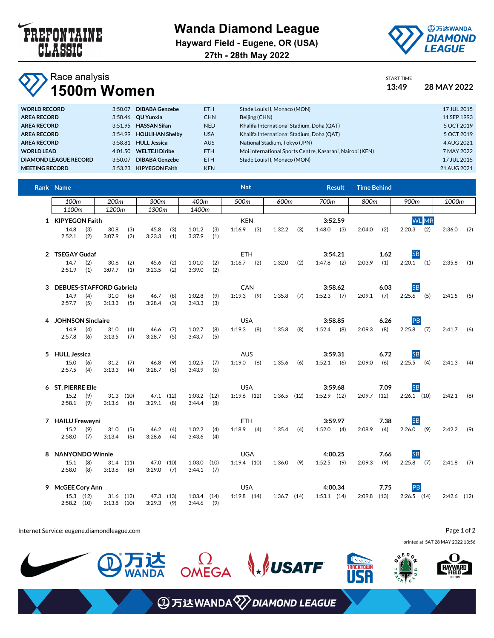

**Wanda Diamond League Hayward Field - Eugene, OR (USA) 27th - 28th May 2022**



START TIME

## Race analysis

| VI.<br>1500m Women           | 13:49   | 28 MAY 2022            |            |                                                          |  |             |
|------------------------------|---------|------------------------|------------|----------------------------------------------------------|--|-------------|
| <b>WORLD RECORD</b>          | 3:50.07 | <b>DIBABA Genzebe</b>  | ETH.       | Stade Louis II, Monaco (MON)                             |  | 17 JUL 2015 |
| <b>AREA RECORD</b>           |         | 3:50.46 QU Yunxia      | <b>CHN</b> | Beijing (CHN)                                            |  | 11 SEP 1993 |
| <b>AREA RECORD</b>           |         | 3:51.95 HASSAN Sifan   | <b>NED</b> | Khalifa International Stadium, Doha (QAT)                |  | 5 OCT 2019  |
| <b>AREA RECORD</b>           | 3:54.99 | <b>HOULIHAN Shelby</b> | <b>USA</b> | Khalifa International Stadium, Doha (QAT)                |  | 5 OCT 2019  |
| <b>AREA RECORD</b>           | 3:58.81 | <b>HULL Jessica</b>    | <b>AUS</b> | National Stadium, Tokyo (JPN)                            |  | 4 AUG 2021  |
| <b>WORLD LEAD</b>            | 4:01.50 | <b>WELTEJI Diribe</b>  | ETH.       | Moi International Sports Centre, Kasarani, Nairobi (KEN) |  | 7 MAY 2022  |
| <b>DIAMOND LEAGUE RECORD</b> | 3:50.07 | DIBABA Genzebe         | <b>ETH</b> | Stade Louis II, Monaco (MON)                             |  | 17 JUL 2015 |
| <b>MEETING RECORD</b>        | 3:53.23 | <b>KIPYEGON Faith</b>  | <b>KEN</b> |                                                          |  | 21 AUG 2021 |

| Rank Name                  |                   |               |             |              |              |                 | <b>Nat</b> |               |            |                 |         |               |         | <b>Time Behind</b> |      |               |              |               |     |
|----------------------------|-------------------|---------------|-------------|--------------|--------------|-----------------|------------|---------------|------------|-----------------|---------|---------------|---------|--------------------|------|---------------|--------------|---------------|-----|
| 100m<br>200m<br>300m       |                   | 400m          |             |              | 600m<br>500m |                 |            | 700m          |            | 800m            |         | 900m          |         | 1000m              |      |               |              |               |     |
| 1100m                      |                   | 1200m         |             | 1300m        |              | 1400m           |            |               |            |                 |         |               |         |                    |      |               |              |               |     |
| 1 KIPYEGON Faith           |                   |               |             |              |              |                 |            | <b>KEN</b>    |            |                 |         |               | 3:52.59 |                    |      |               | <b>WL</b> MR |               |     |
| 14.8                       | (3)               | 30.8          | (3)         | 45.8         | (3)          | 1:01.2          | (3)        | $1:16.9$ (3)  |            | 1:32.2          | (3)     | 1:48.0        | (3)     | 2:04.0             | (2)  | $2:20.3$ (2)  |              | $2:36.0$ (2)  |     |
| 2:52.1                     | (2)               | 3:07.9        | (2)         | 3:23.3       | (1)          | 3:37.9          | (1)        |               |            |                 |         |               |         |                    |      |               |              |               |     |
| 2 TSEGAY Gudaf             |                   |               |             |              |              |                 |            |               | <b>ETH</b> |                 |         | 3:54.21       |         |                    | 1.62 | <b>SB</b>     |              |               |     |
| 14.7                       | (2)               | 30.6          | (2)         | 45.6         | (2)          | 1:01.0          | (2)        | $1:16.7$ (2)  |            | 1:32.0          | (2)     | 1:47.8        | (2)     | 2:03.9             | (1)  | $2:20.1$ (1)  |              | 2:35.8        | (1) |
| 2:51.9                     | (1)               | 3:07.7        | (1)         | 3:23.5       | (2)          | 3:39.0          | (2)        |               |            |                 |         |               |         |                    |      |               |              |               |     |
| 3 DEBUES-STAFFORD Gabriela |                   |               |             |              |              |                 |            | CAN           |            |                 |         |               | 3:58.62 |                    | 6.03 | <b>SB</b>     |              |               |     |
| 14.9                       | (4)               | 31.0          | (6)         | 46.7         | (8)          | 1:02.8          | (9)        | $1:19.3$ (9)  |            | 1:35.8          | (7)     | 1:52.3        | (7)     | 2:09.1             | (7)  | 2:25.6        | (5)          | $2:41.5$ (5)  |     |
| 2:57.7                     | (5)               | 3:13.3        | (5)         | 3:28.4       | (3)          | 3:43.3          | (3)        |               |            |                 |         |               |         |                    |      |               |              |               |     |
| 4 JOHNSON Sinclaire        |                   |               |             |              |              | <b>USA</b>      |            |               |            |                 | 3:58.85 |               | 6.26    | PB                 |      |               |              |               |     |
| 14.9                       | (4)               | 31.0          | (4)         | 46.6         | (7)          | 1:02.7          | (8)        | $1:19.3$ (8)  |            | 1:35.8          | (8)     | 1:52.4        | (8)     | 2:09.3             | (8)  | 2:25.8        | (7)          | 2:41.7        | (6) |
| 2:57.8                     | (6)               | 3:13.5        | (7)         | 3:28.7       | (5)          | 3:43.7          | (5)        |               |            |                 |         |               |         |                    |      |               |              |               |     |
|                            | 5 HULL Jessica    |               |             |              |              | <b>AUS</b>      |            |               |            |                 | 3:59.31 |               | 6.72    | <b>SB</b>          |      |               |              |               |     |
| 15.0                       | (6)               | 31.2          | (7)         | 46.8         | (9)          | 1:02.5          | (7)        | $1:19.0$ (6)  |            | 1:35.6          | (6)     | 1:52.1        | (6)     | 2:09.0             | (6)  | 2:25.5        | (4)          | 2:41.3        | (4) |
| 2:57.5                     | (4)               | 3:13.3        | (4)         | 3:28.7       | (5)          | 3:43.9          | (6)        |               |            |                 |         |               |         |                    |      |               |              |               |     |
| 6 ST. PIERRE Elle          |                   |               |             |              |              |                 |            | <b>USA</b>    |            |                 |         | 3:59.68       |         | 7.09               |      | <b>SB</b>     |              |               |     |
| 15.2                       | (9)               |               | $31.3$ (10) | 47.1 (12)    |              | $1:03.2$ $(12)$ |            | $1:19.6$ (12) |            | $1:36.5$ $(12)$ |         | $1:52.9$ (12) |         | 2:09.7             | (12) | $2:26.1$ (10) |              | $2:42.1$ (8)  |     |
| 2:58.1                     | (9)               | 3:13.6        | (8)         | 3:29.1       | (8)          | 3:44.4          | (8)        |               |            |                 |         |               |         |                    |      |               |              |               |     |
| 7 HAILU Freweyni           |                   |               |             |              |              |                 |            | <b>ETH</b>    |            |                 |         | 3:59.97       |         |                    | 7.38 | <b>SB</b>     |              |               |     |
| 15.2                       | (9)               | 31.0          | (5)         | 46.2         | (4)          | 1:02.2          | (4)        | $1:18.9$ (4)  |            | 1:35.4          | (4)     | $1:52.0$ (4)  |         | 2:08.9             | (4)  | $2:26.0$ (9)  |              | $2:42.2$ (9)  |     |
| 2:58.0                     | (7)               | 3:13.4        | (6)         | 3:28.6       | (4)          | 3:43.6          | (4)        |               |            |                 |         |               |         |                    |      |               |              |               |     |
|                            | 8 NANYONDO Winnie |               |             |              |              | <b>UGA</b>      |            |               |            |                 | 4:00.25 |               | 7.66    | <b>SB</b>          |      |               |              |               |     |
| 15.1                       | (8)               |               | $31.4$ (11) | 47.0 (10)    |              | $1:03.0$ $(10)$ |            | $1:19.4$ (10) |            | 1:36.0          | (9)     | 1:52.5        | (9)     | 2:09.3             | (9)  | $2:25.8$ (7)  |              | $2:41.8$ (7)  |     |
| 2:58.0                     | (8)               | 3:13.6        | (8)         | 3:29.0       | (7)          | 3:44.1          | (7)        |               |            |                 |         |               |         |                    |      |               |              |               |     |
| 9 McGEE Cory Ann           |                   |               |             |              |              |                 |            | <b>USA</b>    |            |                 |         |               | 4:00.34 |                    | 7.75 | PB            |              |               |     |
|                            | 15.3 (12)         |               | $31.6$ (12) | 47.3 (13)    |              | $1:03.4$ $(14)$ |            | $1:19.8$ (14) |            | $1:36.7$ (14)   |         | $1:53.1$ (14) |         | $2:09.8$ (13)      |      | $2:26.5$ (14) |              | $2:42.6$ (12) |     |
| $2:58.2$ (10)              |                   | $3:13.8$ (10) |             | $3:29.3$ (9) |              | 3:44.6          | (9)        |               |            |                 |         |               |         |                    |      |               |              |               |     |

Internet Service: eugene.diamondleague.com Page 1 of 2printed at SAT 28 MAY 2022 13:56  $660$  $\Omega$ OMEGA  $\Box$ **WSATF KTOWN HAYWARD**